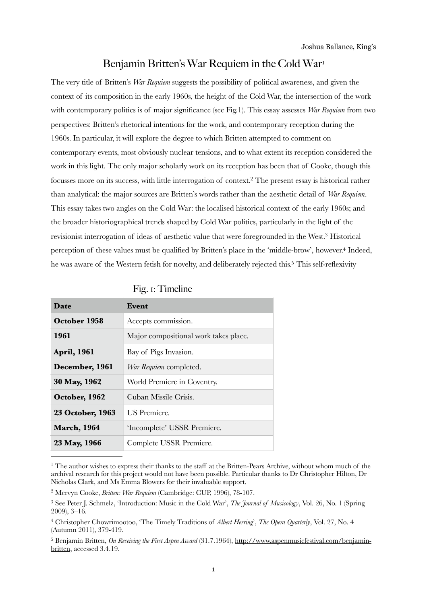## <span id="page-0-5"></span>Benjamin Britten's War Requiem in the Cold War<sup>[1](#page-0-0)</sup>

The very title of Britten's *War Requiem* suggests the possibility of political awareness, and given the context of its composition in the early 1960s, the height of the Cold War, the intersection of the work with contemporary politics is of major significance (see Fig.1). This essay assesses *War Requiem* from two perspectives: Britten's rhetorical intentions for the work, and contemporary reception during the 1960s. In particular, it will explore the degree to which Britten attempted to comment on contemporary events, most obviously nuclear tensions, and to what extent its reception considered the work in this light. The only major scholarly work on its reception has been that of Cooke, though this focusses more on its success, with little interrogation of context.<sup>[2](#page-0-1)</sup> The present essay is historical rather than analytical: the major sources are Britten's words rather than the aesthetic detail of *War Requiem*. This essay takes two angles on the Cold War: the localised historical context of the early 1960s; and the broader historiographical trends shaped by Cold War politics, particularly in the light of the revisionist interrogation of ideas of aesthetic value that were foregrounded in the West.<sup>[3](#page-0-2)</sup> Historical perception of these values must be qualified by Britten's place in the 'middle-brow', however[.](#page-0-3)<sup>[4](#page-0-3)</sup> Indeed, he was aware of the Western fetish for novelty, and deliberately rejected this[.](#page-0-4)<sup>[5](#page-0-4)</sup> This self-reflexivity

| Date               | Event                                 |
|--------------------|---------------------------------------|
| October 1958       | Accepts commission.                   |
| 1961               | Major compositional work takes place. |
| <b>April, 1961</b> | Bay of Pigs Invasion.                 |
| December, 1961     | War Requiem completed.                |
| 30 May, 1962       | World Premiere in Coventry.           |
| October, 1962      | Cuban Missile Crisis.                 |
| 23 October, 1963   | <b>US</b> Premiere.                   |
| <b>March, 1964</b> | 'Incomplete' USSR Premiere.           |
| 23 May, 1966       | Complete USSR Premiere.               |

<span id="page-0-9"></span><span id="page-0-8"></span><span id="page-0-7"></span><span id="page-0-6"></span>

|  | Fig. 1: Timeline |
|--|------------------|
|  |                  |

<span id="page-0-0"></span><sup>&</sup>lt;sup>[1](#page-0-5)</sup> The author wishes to express their thanks to the staff at the Britten-Pears Archive, without whom much of the archival research for this project would not have been possible. Particular thanks to Dr Christopher Hilton, Dr Nicholas Clark, and Ms Emma Blowers for their invaluable support.

<span id="page-0-1"></span><sup>&</sup>lt;sup>[2](#page-0-6)</sup> Mervyn Cooke, *Britten: War Requiem* (Cambridge: CUP, 1996), 78-107.

<span id="page-0-2"></span><sup>&</sup>lt;sup>[3](#page-0-7)</sup> See Peter I. Schmelz, 'Introduction: Music in the Cold War', *The Journal of Musicology*, Vol. 26, No. 1 (Spring 2009), 3–16.

<span id="page-0-3"></span>Christopher Chowrimootoo, 'The Timely Traditions of *Albert Herring*', *The Opera Quarterly*, Vol. 27, No. 4 [4](#page-0-8) (Autumn 2011), 379-419.

<span id="page-0-4"></span><sup>&</sup>lt;sup>[5](#page-0-9)</sup> Benjamin Britten, *On Receiving the First Aspen Award* (31.7.1964), [http://www.aspenmusicfestival.com/benjamin](http://www.aspenmusicfestival.com/benjamin-britten) [britten,](http://www.aspenmusicfestival.com/benjamin-britten) accessed 3.4.19.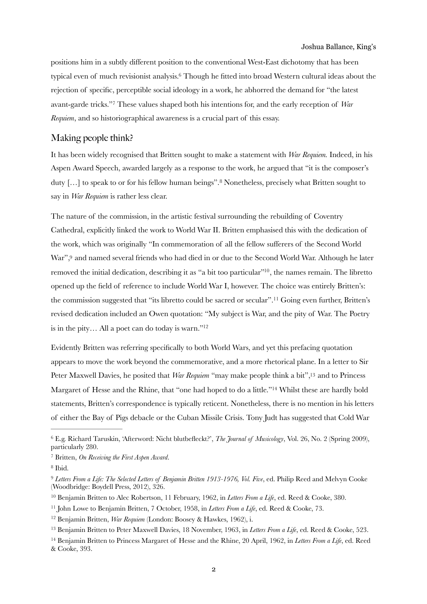#### <span id="page-1-11"></span><span id="page-1-9"></span>Joshua Ballance, King's

positions him in a subtly different position to the conventional West-East dichotomy that has been typical even of much revisionist analysis.<sup>[6](#page-1-0)</sup> Though he fitted into broad Western cultural ideas about the rejection of specific, perceptible social ideology in a work, he abhorred the demand for "the latest avant-gardetricks."<sup>7</sup> These values shaped both his intentions for, and the early reception of *War Requiem*, and so historiographical awareness is a crucial part of this essay.

## <span id="page-1-10"></span>Making people think?

It has been widely recognised that Britten sought to make a statement with *War Requiem.* Indeed, in his Aspen Award Speech, awarded largely as a response to the work, he argued that "it is the composer's duty [...] to speak to or for his fellow human beings".<sup>[8](#page-1-2)</sup> Nonetheless, precisely what Britten sought to say in *War Requiem* is rather less clear.

<span id="page-1-13"></span><span id="page-1-12"></span>The nature of the commission, in the artistic festival surrounding the rebuilding of Coventry Cathedral, explicitly linked the work to World War II. Britten emphasised this with the dedication of the work, which was originally "In commemoration of all the fellow sufferers of the Second World War"[,](#page-1-3)<sup>[9](#page-1-3)</sup> and named several friends who had died in or due to the Second World War. Although he later removed the initial dedication[,](#page-1-4) describing it as "a bit too particular"<sup>[10](#page-1-4)</sup>, the names remain. The libretto opened up the field of reference to include World War I, however. The choice was entirely Britten's: the commission suggested that "its libretto could be sacred or secular".<sup>[11](#page-1-5)</sup> Going even further, Britten's revised dedication included an Owen quotation: "My subject is War, and the pity of War. The Poetry is in the pity… All a poet can do today is warn.["12](#page-1-6)

<span id="page-1-17"></span><span id="page-1-16"></span><span id="page-1-15"></span><span id="page-1-14"></span>Evidently Britten was referring specifically to both World Wars, and yet this prefacing quotation appears to move the work beyond the commemorative, and a more rhetorical plane. In a letter to Sir Peter Maxwell Davies[,](#page-1-7) he posited that *War Requiem* "may make people think a bit",<sup>[13](#page-1-7)</sup> and to Princess Margaret of Hesse and the Rhine, that ["](#page-1-8)one had hoped to do a little."<sup>[14](#page-1-8)</sup> Whilst these are hardly bold statements, Britten's correspondence is typically reticent. Nonetheless, there is no mention in his letters of either the Bay of Pigs debacle or the Cuban Missile Crisis. Tony Judt has suggested that Cold War

<span id="page-1-0"></span>E.g. Richard Taruskin, 'Afterword: Nicht blutbefleckt?', *The Journal of Musicology*, Vol. 26, No. 2 (Spring 2009), [6](#page-1-9) particularly 280.

<span id="page-1-1"></span>Britten, *On Receiving the First Aspen Award*. [7](#page-1-10)

<span id="page-1-2"></span><sup>&</sup>lt;sup>[8](#page-1-11)</sup> Ibid.

<span id="page-1-3"></span><sup>&</sup>lt;sup>[9](#page-1-12)</sup> Letters From a Life: The Selected Letters of Benjamin Britten 1913-1976, Vol. Five, ed. Philip Reed and Melvyn Cooke (Woodbridge: Boydell Press, 2012), 326.

<span id="page-1-4"></span><sup>&</sup>lt;sup>[10](#page-1-13)</sup> Benjamin Britten to Alec Robertson, 11 February, 1962, in *Letters From a Life*, ed. Reed & Cooke, 380.

<span id="page-1-5"></span><sup>&</sup>lt;sup>[11](#page-1-14)</sup> John Lowe to Benjamin Britten, 7 October, 1958, in *Letters From a Life*, ed. Reed & Cooke, 73.

<span id="page-1-6"></span><sup>&</sup>lt;sup>[12](#page-1-15)</sup> Benjamin Britten, *War Requiem* (London: Boosey & Hawkes, 1962), i.

<span id="page-1-7"></span><sup>&</sup>lt;sup>[13](#page-1-16)</sup> Benjamin Britten to Peter Maxwell Davies, 18 November, 1963, in *Letters From a Life*, ed. Reed & Cooke, 523.

<span id="page-1-8"></span><sup>&</sup>lt;sup>[14](#page-1-17)</sup> Benjamin Britten to Princess Margaret of Hesse and the Rhine, 20 April, 1962, in *Letters From a Life*, ed. Reed & Cooke, 393.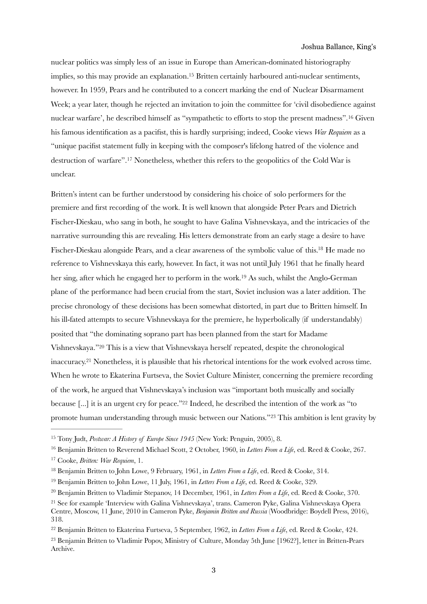<span id="page-2-10"></span><span id="page-2-9"></span>nuclear politics was simply less of an issue in Europe than American-dominated historiography implies, so this may provide an explanation[.](#page-2-0)<sup>[15](#page-2-0)</sup> Britten certainly harboured anti-nuclear sentiments, however. In 1959, Pears and he contributed to a concert marking the end of Nuclear Disarmament Week; a year later, though he rejected an invitation to join the committee for 'civil disobedience against nuclear warfare', he described himself as "sympathetic to efforts to stop the present madness".<sup>[16](#page-2-1)</sup> Given his famous identification as a pacifist, this is hardly surprising; indeed, Cooke views *War Requiem* as a "unique pacifist statement fully in keeping with the composer's lifelong hatred of the violence and destruction of warfare".<sup>[17](#page-2-2)</sup> Nonetheless, whether this refers to the geopolitics of the Cold War is unclear.

<span id="page-2-13"></span><span id="page-2-12"></span><span id="page-2-11"></span>Britten's intent can be further understood by considering his choice of solo performers for the premiere and first recording of the work. It is well known that alongside Peter Pears and Dietrich Fischer-Dieskau, who sang in both, he sought to have Galina Vishnevskaya, and the intricacies of the narrative surrounding this are revealing. His letters demonstrate from an early stage a desire to have Fischer-Dieskau alongside Pears, and a clear awareness of the symbolic value of this.<sup>[18](#page-2-3)</sup> He made no reference to Vishnevskaya this early, however. In fact, it was not until July 1961 that he finally heard her sing, after which he engaged her to perform in the work[.](#page-2-4)<sup>[19](#page-2-4)</sup> As such, whilst the Anglo-German plane of the performance had been crucial from the start, Soviet inclusion was a later addition. The precise chronology of these decisions has been somewhat distorted, in part due to Britten himself. In his ill-fated attempts to secure Vishnevskaya for the premiere, he hyperbolically (if understandably) posited that "the dominating soprano part has been planned from the start for Madame Vishnevskaya.["](#page-2-5)<sup>[20](#page-2-5)</sup> This is a view that Vishnevskaya herself repeated, despite the chronological inaccuracy[.](#page-2-6)<sup>[21](#page-2-6)</sup> Nonetheless, it is plausible that his rhetorical intentions for the work evolved across time. When he wrote to Ekaterina Furtseva, the Soviet Culture Minister, concerning the premiere recording of the work, he argued that Vishnevskaya's inclusion was "important both musically and socially because [...] it is an urgent cry for peace."<sup>[22](#page-2-7)</sup> Indeed, he described the intention of the work as "to promote human understanding through music between our Nations."<sup>[23](#page-2-8)</sup> This ambition is lent gravity by

<span id="page-2-1"></span><sup>[16](#page-2-10)</sup> Benjamin Britten to Reverend Michael Scott, 2 October, 1960, in *Letters From a Life*, ed. Reed & Cooke, 267.

<span id="page-2-17"></span><span id="page-2-16"></span><span id="page-2-15"></span><span id="page-2-14"></span><span id="page-2-0"></span><sup>&</sup>lt;sup>[15](#page-2-9)</sup> Tony Judt, *Postwar: A History of Europe Since 1945* (New York: Penguin, 2005), 8.

<span id="page-2-2"></span><sup>&</sup>lt;sup>[17](#page-2-11)</sup> Cooke, *Britten: War Requiem*, 1.

<span id="page-2-3"></span><sup>&</sup>lt;sup>[18](#page-2-12)</sup> Benjamin Britten to John Lowe, 9 February, 1961, in *Letters From a Life*, ed. Reed & Cooke, 314.

<span id="page-2-4"></span><sup>&</sup>lt;sup>[19](#page-2-13)</sup> Benjamin Britten to John Lowe, 11 July, 1961, in *Letters From a Life*, ed. Reed & Cooke, 329.

<span id="page-2-5"></span><sup>&</sup>lt;sup>[20](#page-2-14)</sup> Benjamin Britten to Vladimir Stepanov, 14 December, 1961, in *Letters From a Life*, ed. Reed & Cooke, 370.

<span id="page-2-6"></span><sup>&</sup>lt;sup>21</sup>See for example 'Interview with Galina Vishnevskaya', trans. Cameron Pyke, Galina Vishnevskaya Opera Centre, Moscow, 11 June, 2010 in Cameron Pyke, *Benjamin Britten and Russia* (Woodbridge: Boydell Press, 2016), 318.

<span id="page-2-7"></span><sup>&</sup>lt;sup>[22](#page-2-16)</sup> Benjamin Britten to Ekaterina Furtseva, 5 September, 1962, in *Letters From a Life*, ed. Reed & Cooke, 424.

<span id="page-2-8"></span><sup>&</sup>lt;sup>23</sup>Benjamin Britten to Vladimir Popov, Ministry of Culture, Monday 5th June [1962?], letter in Britten-Pears Archive.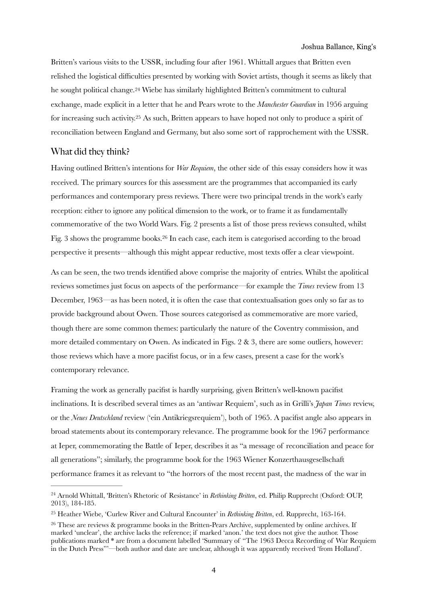<span id="page-3-3"></span>Britten's various visits to the USSR, including four after 1961. Whittall argues that Britten even relished the logistical difficulties presented by working with Soviet artists, though it seems as likely that he sought political change.<sup>[24](#page-3-0)</sup> Wiebe has similarly highlighted Britten's commitment to cultural exchange, made explicit in a letter that he and Pears wrote to the *Manchester Guardian* in 1956 arguing for increasing such activity[.](#page-3-1)<sup>[25](#page-3-1)</sup> As such, Britten appears to have hoped not only to produce a spirit of reconciliation between England and Germany, but also some sort of rapprochement with the USSR.

### <span id="page-3-4"></span>What did they think?

Having outlined Britten's intentions for *War Requiem*, the other side of this essay considers how it was received. The primary sources for this assessment are the programmes that accompanied its early performances and contemporary press reviews. There were two principal trends in the work's early reception: either to ignore any political dimension to the work, or to frame it as fundamentally commemorative of the two World Wars. Fig. 2 presents a list of those press reviews consulted, whilst Fig[.](#page-3-2) 3 shows the programme books.<sup>[26](#page-3-2)</sup> In each case, each item is categorised according to the broad perspective it presents—although this might appear reductive, most texts offer a clear viewpoint.

<span id="page-3-5"></span>As can be seen, the two trends identified above comprise the majority of entries. Whilst the apolitical reviews sometimes just focus on aspects of the performance—for example the *Times* review from 13 December, 1963—as has been noted, it is often the case that contextualisation goes only so far as to provide background about Owen. Those sources categorised as commemorative are more varied, though there are some common themes: particularly the nature of the Coventry commission, and more detailed commentary on Owen. As indicated in Figs. 2 & 3, there are some outliers, however: those reviews which have a more pacifist focus, or in a few cases, present a case for the work's contemporary relevance.

Framing the work as generally pacifist is hardly surprising, given Britten's well-known pacifist inclinations. It is described several times as an 'antiwar Requiem', such as in Grilli's *Japan Times* review, or the *Neues Deutschland* review ('ein Antikriegsrequiem'), both of 1965. A pacifist angle also appears in broad statements about its contemporary relevance. The programme book for the 1967 performance at Ieper, commemorating the Battle of Ieper, describes it as "a message of reconciliation and peace for all generations"; similarly, the programme book for the 1963 Wiener Konzerthausgesellschaft performance frames it as relevant to "the horrors of the most recent past, the madness of the war in

<span id="page-3-0"></span><sup>&</sup>lt;sup>[24](#page-3-3)</sup> Arnold Whittall, 'Britten's Rhetoric of Resistance' in *Rethinking Britten*, ed. Philip Rupprecht (Oxford: OUP, 2013), 184-185.

<span id="page-3-1"></span><sup>&</sup>lt;sup>[25](#page-3-4)</sup> Heather Wiebe, 'Curlew River and Cultural Encounter' in *Rethinking Britten*, ed. Rupprecht, 163-164.

<span id="page-3-2"></span><sup>&</sup>lt;sup>26</sup>These are reviews & programme books in the Britten-Pears Archive, supplemented by online archives. If marked 'unclear', the archive lacks the reference; if marked 'anon.' the text does not give the author. Those publications marked \* are from a document labelled 'Summary of "The 1963 Decca Recording of War Requiem in the Dutch Press"'—both author and date are unclear, although it was apparently received 'from Holland'.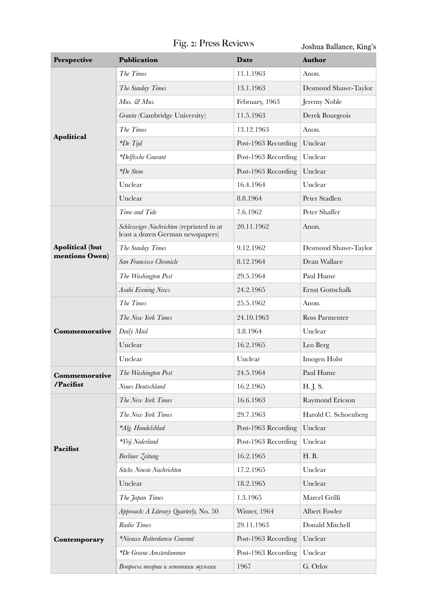# Fig. 2: Press Reviews

Joshua Ballance, King's

| <b>Perspective</b>                       | <b>Publication</b>                                                                                                                                                                                                                                                                                                                                                 | Date                                                              | <b>Author</b>        |
|------------------------------------------|--------------------------------------------------------------------------------------------------------------------------------------------------------------------------------------------------------------------------------------------------------------------------------------------------------------------------------------------------------------------|-------------------------------------------------------------------|----------------------|
|                                          | The Times                                                                                                                                                                                                                                                                                                                                                          | 11.1.1963                                                         | Anon.                |
|                                          | The Sunday Times                                                                                                                                                                                                                                                                                                                                                   | 13.1.1963                                                         | Desmond Shawe-Taylor |
|                                          | Mus. & Mus.                                                                                                                                                                                                                                                                                                                                                        | February, 1963                                                    | Jeremy Noble         |
|                                          | Granta (Cambridge University)                                                                                                                                                                                                                                                                                                                                      | 11.5.1963                                                         | Derek Bourgeois      |
| <b>Apolitical</b>                        | The Times                                                                                                                                                                                                                                                                                                                                                          | 13.12.1963                                                        | Anon.                |
|                                          | $*De Tijd$                                                                                                                                                                                                                                                                                                                                                         | Post-1963 Recording                                               | Unclear              |
|                                          | *Delftsche Courant                                                                                                                                                                                                                                                                                                                                                 | Post-1963 Recording                                               | Unclear              |
|                                          | $*De$ Stem                                                                                                                                                                                                                                                                                                                                                         | Post-1963 Recording                                               | Unclear              |
|                                          | Unclear                                                                                                                                                                                                                                                                                                                                                            | 16.4.1964                                                         | Unclear              |
|                                          | Unclear                                                                                                                                                                                                                                                                                                                                                            | 8.8.1964                                                          | Peter Stadlen        |
|                                          | Time and Tide                                                                                                                                                                                                                                                                                                                                                      | 7.6.1962                                                          | Peter Shaffer        |
| <b>Apolitical</b> (but<br>mentions Owen) | Schleswiger Nachrichten (reprinted in at<br>least a dozen German newspapers)                                                                                                                                                                                                                                                                                       | 20.11.1962                                                        | Anon.                |
|                                          | The Sunday Times                                                                                                                                                                                                                                                                                                                                                   | 9.12.1962                                                         | Desmond Shawe-Taylor |
|                                          | San Francisco Chronicle                                                                                                                                                                                                                                                                                                                                            | 8.12.1964                                                         | Dean Wallace         |
|                                          | The Washington Post                                                                                                                                                                                                                                                                                                                                                | 29.5.1964                                                         | Paul Hume            |
|                                          | Asahi Evening News                                                                                                                                                                                                                                                                                                                                                 | 24.2.1965                                                         | Ernst Gottschalk     |
|                                          | The Times                                                                                                                                                                                                                                                                                                                                                          | 25.5.1962                                                         | Anon.                |
|                                          | The New York Times                                                                                                                                                                                                                                                                                                                                                 | 24.10.1963                                                        | Ross Parmenter       |
| <b>Commemorative</b>                     | Daily Mail                                                                                                                                                                                                                                                                                                                                                         | 3.8.1964                                                          | Unclear              |
|                                          | Unclear                                                                                                                                                                                                                                                                                                                                                            | 16.2.1965                                                         | Leo Berg             |
|                                          | Unclear                                                                                                                                                                                                                                                                                                                                                            | Unclear                                                           | Imogen Holst         |
| Commemorative                            | The Washington Post                                                                                                                                                                                                                                                                                                                                                | 24.5.1964                                                         | Paul Hume            |
| /Pacifist                                | Neues Deutschland                                                                                                                                                                                                                                                                                                                                                  | 16.2.1965                                                         | H. J. S.             |
|                                          | The New York Times                                                                                                                                                                                                                                                                                                                                                 | 16.6.1963                                                         | Raymond Ericson      |
|                                          | The New York Times                                                                                                                                                                                                                                                                                                                                                 | 29.7.1963                                                         | Harold C. Schoenberg |
|                                          | *Alg. Handelsblad<br>*Vrij Nederland<br>16.2.1965<br>Berliner Zeitung<br>Sächs Neuste Nachrichten<br>17.2.1965<br>Unclear<br>18.2.1965<br>The Japan Times<br>1.3.1965<br>Winter, 1964<br>Approach: A Literary Quarterly, No. 50<br>Radio Times<br>29.11.1963<br>*Nieuwe Rotterdamse Courant<br>*De Groene Amsterdammer<br>1967<br>Вопросы теории и эстетики музыки | Post-1963 Recording                                               | Unclear              |
| Pacifist                                 |                                                                                                                                                                                                                                                                                                                                                                    | Post-1963 Recording<br>Post-1963 Recording<br>Post-1963 Recording | Unclear              |
|                                          |                                                                                                                                                                                                                                                                                                                                                                    |                                                                   | H. B.                |
|                                          |                                                                                                                                                                                                                                                                                                                                                                    |                                                                   | Unclear              |
|                                          |                                                                                                                                                                                                                                                                                                                                                                    |                                                                   | Unclear              |
|                                          |                                                                                                                                                                                                                                                                                                                                                                    |                                                                   | Marcel Grilli        |
| Contemporary                             |                                                                                                                                                                                                                                                                                                                                                                    |                                                                   | <b>Albert Fowler</b> |
|                                          |                                                                                                                                                                                                                                                                                                                                                                    |                                                                   | Donald Mitchell      |
|                                          |                                                                                                                                                                                                                                                                                                                                                                    |                                                                   | Unclear              |
|                                          |                                                                                                                                                                                                                                                                                                                                                                    |                                                                   | Unclear              |
|                                          |                                                                                                                                                                                                                                                                                                                                                                    |                                                                   | G. Orlov             |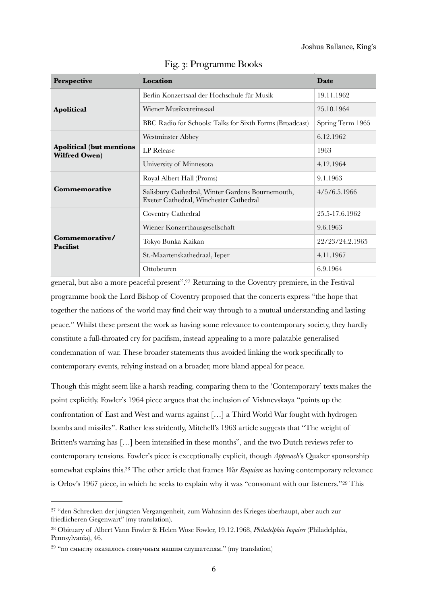| <b>Perspective</b>                                       | Location                                                                                   | Date             |
|----------------------------------------------------------|--------------------------------------------------------------------------------------------|------------------|
|                                                          | Berlin Konzertsaal der Hochschule für Musik                                                | 19.11.1962       |
| Apolitical                                               | Wiener Musikvereinssaal                                                                    | 25.10.1964       |
|                                                          | BBC Radio for Schools: Talks for Sixth Forms (Broadcast)                                   | Spring Term 1965 |
| <b>Apolitical (but mentions)</b><br><b>Wilfred Owen)</b> | <b>Westminster Abbey</b>                                                                   | 6.12.1962        |
|                                                          | LP Release                                                                                 | 1963             |
|                                                          | University of Minnesota                                                                    | 4.12.1964        |
| Commemorative                                            | Royal Albert Hall (Proms)                                                                  | 9.1.1963         |
|                                                          | Salisbury Cathedral, Winter Gardens Bournemouth,<br>Exeter Cathedral, Winchester Cathedral | 4/5/6.5.1966     |
| Commemorative/<br>Pacifist                               | Coventry Cathedral                                                                         | 25.5-17.6.1962   |
|                                                          | Wiener Konzerthausgesellschaft                                                             | 9.6.1963         |
|                                                          | Tokyo Bunka Kaikan                                                                         | 22/23/24.2.1965  |
|                                                          | St.-Maartenskathedraal, Ieper                                                              | 4.11.1967        |
|                                                          | Ottobeuren                                                                                 | 6.9.1964         |

Fig. 3: Programme Books

<span id="page-5-3"></span>general, but also a more peaceful present".<sup>[27](#page-5-0)</sup> Returning to the Coventry premiere, in the Festival programme book the Lord Bishop of Coventry proposed that the concerts express "the hope that together the nations of the world may find their way through to a mutual understanding and lasting peace." Whilst these present the work as having some relevance to contemporary society, they hardly constitute a full-throated cry for pacifism, instead appealing to a more palatable generalised condemnation of war. These broader statements thus avoided linking the work specifically to contemporary events, relying instead on a broader, more bland appeal for peace.

Though this might seem like a harsh reading, comparing them to the 'Contemporary' texts makes the point explicitly. Fowler's 1964 piece argues that the inclusion of Vishnevskaya "points up the confrontation of East and West and warns against […] a Third World War fought with hydrogen bombs and missiles". Rather less stridently, Mitchell's 1963 article suggests that "The weight of Britten's warning has […] been intensified in these months", and the two Dutch reviews refer to contemporary tensions. Fowler's piece is exceptionally explicit, though *Approach*'s Quaker sponsorship somewhat explains this.<sup>[28](#page-5-1)</sup> The other article that frames *War Requiem* as having contemporary relevance is Orlov's 1967 piece, in which he seeks to explain why it was "consonant with our listeners." [29](#page-5-2) This

<span id="page-5-5"></span><span id="page-5-4"></span><span id="page-5-0"></span><sup>&</sup>lt;sup>27</sup>"den Schrecken der jüngsten Vergangenheit, zum Wahnsinn des Krieges überhaupt, aber auch zur friedlicheren Gegenwart" (my translation).

<span id="page-5-1"></span><sup>&</sup>lt;sup>[28](#page-5-4)</sup> Obituary of Albert Vann Fowler & Helen Wose Fowler, 19.12.1968, *Philadelphia Inquirer* (Philadelphia, Pennsylvania), 46.

<span id="page-5-2"></span> $29$  "по смыслу оказалось созвучным нашим слушателям." (my translation)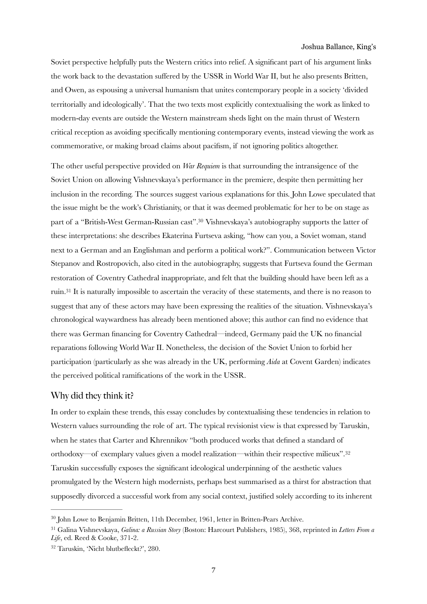Soviet perspective helpfully puts the Western critics into relief. A significant part of his argument links the work back to the devastation suffered by the USSR in World War II, but he also presents Britten, and Owen, as espousing a universal humanism that unites contemporary people in a society 'divided territorially and ideologically'. That the two texts most explicitly contextualising the work as linked to modern-day events are outside the Western mainstream sheds light on the main thrust of Western critical reception as avoiding specifically mentioning contemporary events, instead viewing the work as commemorative, or making broad claims about pacifism, if not ignoring politics altogether.

<span id="page-6-3"></span>The other useful perspective provided on *War Requiem* is that surrounding the intransigence of the Soviet Union on allowing Vishnevskaya's performance in the premiere, despite then permitting her inclusion in the recording. The sources suggest various explanations for this. John Lowe speculated that the issue might be the work's Christianity, or that it was deemed problematic for her to be on stage as part of a "British-West German-Russian cast".<sup>[30](#page-6-0)</sup> Vishnevskaya's autobiography supports the latter of these interpretations: she describes Ekaterina Furtseva asking, "how can you, a Soviet woman, stand next to a German and an Englishman and perform a political work?". Communication between Victor Stepanov and Rostropovich, also cited in the autobiography, suggests that Furtseva found the German restoration of Coventry Cathedral inappropriate, and felt that the building should have been left as a ruin[.](#page-6-1)<sup>[31](#page-6-1)</sup> It is naturally impossible to ascertain the veracity of these statements, and there is no reason to suggest that any of these actors may have been expressing the realities of the situation. Vishnevskaya's chronological waywardness has already been mentioned above; this author can find no evidence that there was German financing for Coventry Cathedral—indeed, Germany paid the UK no financial reparations following World War II. Nonetheless, the decision of the Soviet Union to forbid her participation (particularly as she was already in the UK, performing *Aida* at Covent Garden) indicates the perceived political ramifications of the work in the USSR.

### <span id="page-6-4"></span>Why did they think it?

<span id="page-6-5"></span>In order to explain these trends, this essay concludes by contextualising these tendencies in relation to Western values surrounding the role of art. The typical revisionist view is that expressed by Taruskin, when he states that Carter and Khrennikov "both produced works that defined a standard of orthodoxy—of exemplary values given a model realization—within their respective milieux".[32](#page-6-2) Taruskin successfully exposes the significant ideological underpinning of the aesthetic values promulgated by the Western high modernists, perhaps best summarised as a thirst for abstraction that supposedly divorced a successful work from any social context, justified solely according to its inherent

<span id="page-6-0"></span><sup>&</sup>lt;sup>[30](#page-6-3)</sup> John Lowe to Benjamin Britten, 11th December, 1961, letter in Britten-Pears Archive.

<span id="page-6-1"></span>Galina Vishnevskaya, *Galina: a Russian Story* (Boston: Harcourt Publishers, 1985), 368, reprinted in *Letters From a* [31](#page-6-4) *Life*, ed. Reed & Cooke, 371-2.

<span id="page-6-2"></span><sup>&</sup>lt;sup>[32](#page-6-5)</sup> Taruskin, 'Nicht blutbefleckt?', 280.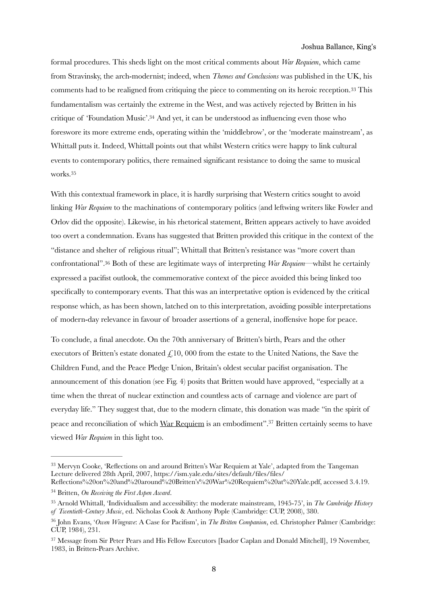<span id="page-7-6"></span><span id="page-7-5"></span>formal procedures. This sheds light on the most critical comments about *War Requiem*, which came from Stravinsky, the arch-modernist; indeed, when *Themes and Conclusions* was published in the UK, his comments had to be realigned from critiquing the piece to commenting on its heroic reception.<sup>[33](#page-7-0)</sup> This fundamentalism was certainly the extreme in the West, and was actively rejected by Britten in his critique of 'Foundation Music'.<sup>[34](#page-7-1)</sup> And yet, it can be understood as influencing even those who foreswore its more extreme ends, operating within the 'middlebrow', or the 'moderate mainstream', as Whittall puts it. Indeed, Whittall points out that whilst Western critics were happy to link cultural events to contemporary politics, there remained significant resistance to doing the same to musical works. [35](#page-7-2)

<span id="page-7-8"></span><span id="page-7-7"></span>With this contextual framework in place, it is hardly surprising that Western critics sought to avoid linking *War Requiem* to the machinations of contemporary politics (and leftwing writers like Fowler and Orlov did the opposite). Likewise, in his rhetorical statement, Britten appears actively to have avoided too overt a condemnation. Evans has suggested that Britten provided this critique in the context of the "distance and shelter of religious ritual"; Whittall that Britten's resistance was "more covert than confrontational".<sup>36</sup> Both of these are legitimate ways of interpreting *War Requiem*—whilst he certainly expressed a pacifist outlook, the commemorative context of the piece avoided this being linked too specifically to contemporary events. That this was an interpretative option is evidenced by the critical response which, as has been shown, latched on to this interpretation, avoiding possible interpretations of modern-day relevance in favour of broader assertions of a general, inoffensive hope for peace.

To conclude, a final anecdote. On the 70th anniversary of Britten's birth, Pears and the other executors of Britten's estate donated  $\mathcal{L}$ 10, 000 from the estate to the United Nations, the Save the Children Fund, and the Peace Pledge Union, Britain's oldest secular pacifist organisation. The announcement of this donation (see Fig. 4) posits that Britten would have approved, "especially at a time when the threat of nuclear extinction and countless acts of carnage and violence are part of everyday life." They suggest that, due to the modern climate, this donation was made "in the spirit of peace and reconciliation of which War Requiem is an embodiment"[.](#page-7-4)<sup>[37](#page-7-4)</sup> Britten certainly seems to have viewed *War Requiem* in this light too.

<span id="page-7-9"></span><span id="page-7-0"></span><sup>&</sup>lt;sup>33</sup>Mervyn Cooke, 'Reflections on and around Britten's War Requiem at Yale', adapted from the Tangeman Lecture delivered 28th April, 2007, https://ism.yale.edu/sites/default/files/files/

<span id="page-7-1"></span>Reflections%20on%20and%20around%20Britten's%20War%20Requiem%20at%20Yale.pdf, accessed 3.4.19. <sup>[34](#page-7-6)</sup> Britten, *On Receiving the First Aspen Award*.

<span id="page-7-2"></span>Arnold Whittall, 'Individualism and accessibility: the moderate mainstream, 1945-75', in *The Cambridge History* [35](#page-7-7) *of Twentieth-Century Music*, ed. Nicholas Cook & Anthony Pople (Cambridge: CUP, 2008), 380.

<span id="page-7-3"></span>John Evans, '*Owen Wingrave*: A Case for Pacifism', in *The Britten Companion*, ed. Christopher Palmer (Cambridge: [36](#page-7-8) CUP, 1984), 231.

<span id="page-7-4"></span><sup>&</sup>lt;sup>37</sup>Message from Sir Peter Pears and His Fellow Executors [Isador Caplan and Donald Mitchell], 19 November, 1983, in Britten-Pears Archive.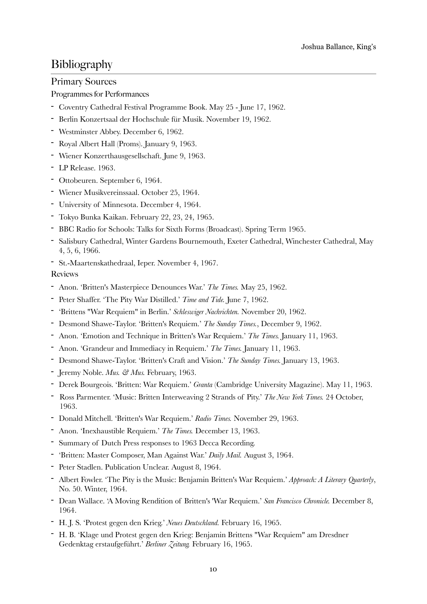## Bibliography

### Primary Sources

### Programmes for Performances

- Coventry Cathedral Festival Programme Book. May 25 June 17, 1962.
- Berlin Konzertsaal der Hochschule für Musik. November 19, 1962.
- Westminster Abbey. December 6, 1962.
- Royal Albert Hall (Proms). January 9, 1963.
- Wiener Konzerthausgesellschaft. June 9, 1963.
- LP Release. 1963.
- Ottobeuren. September 6, 1964.
- Wiener Musikvereinssaal. October 25, 1964.
- University of Minnesota. December 4, 1964.
- Tokyo Bunka Kaikan. February 22, 23, 24, 1965.
- BBC Radio for Schools: Talks for Sixth Forms (Broadcast). Spring Term 1965.
- Salisbury Cathedral, Winter Gardens Bournemouth, Exeter Cathedral, Winchester Cathedral, May 4, 5, 6, 1966.
- St.-Maartenskathedraal, Ieper. November 4, 1967.

Reviews

- Anon. 'Britten's Masterpiece Denounces War.' *The Times.* May 25, 1962.
- Peter Shaffer. 'The Pity War Distilled.' *Time and Tide.* June 7, 1962.
- 'Brittens "War Requiem" in Berlin.' *Schleswiger Nachrichten.* November 20, 1962.
- Desmond Shawe-Taylor. 'Britten's Requiem.' *The Sunday Times.*, December 9, 1962.
- Anon. 'Emotion and Technique in Britten's War Requiem.' *The Times.* January 11, 1963.
- Anon. 'Grandeur and Immediacy in Requiem.' *The Times.* January 11, 1963.
- Desmond Shawe-Taylor. 'Britten's Craft and Vision.' *The Sunday Times.* January 13, 1963.
- Jeremy Noble. *Mus. & Mus.* February, 1963.
- Derek Bourgeois. 'Britten: War Requiem.' *Granta* (Cambridge University Magazine). May 11, 1963.
- Ross Parmenter. 'Music: Britten Interweaving 2 Strands of Pity.' *The New York Times.* 24 October, 1963.
- Donald Mitchell. 'Britten's War Requiem.' *Radio Times.* November 29, 1963.
- Anon. 'Inexhaustible Requiem.' *The Times.* December 13, 1963.
- Summary of Dutch Press responses to 1963 Decca Recording.
- 'Britten: Master Composer, Man Against War.' *Daily Mail.* August 3, 1964.
- Peter Stadlen. Publication Unclear. August 8, 1964.
- Albert Fowler. 'The Pity is the Music: Benjamin Britten's War Requiem.' *Approach: A Literary Quarterly*, No. 50. Winter, 1964.
- Dean Wallace. 'A Moving Rendition of Britten's 'War Requiem.' *San Francisco Chronicle.* December 8, 1964.
- H. J. S. 'Protest gegen den Krieg.' *Neues Deutschland.* February 16, 1965.
- H. B. 'Klage und Protest gegen den Krieg: Benjamin Brittens "War Requiem" am Dresdner Gedenktag erstaufgeführt.' *Berliner Zeitung.* February 16, 1965.